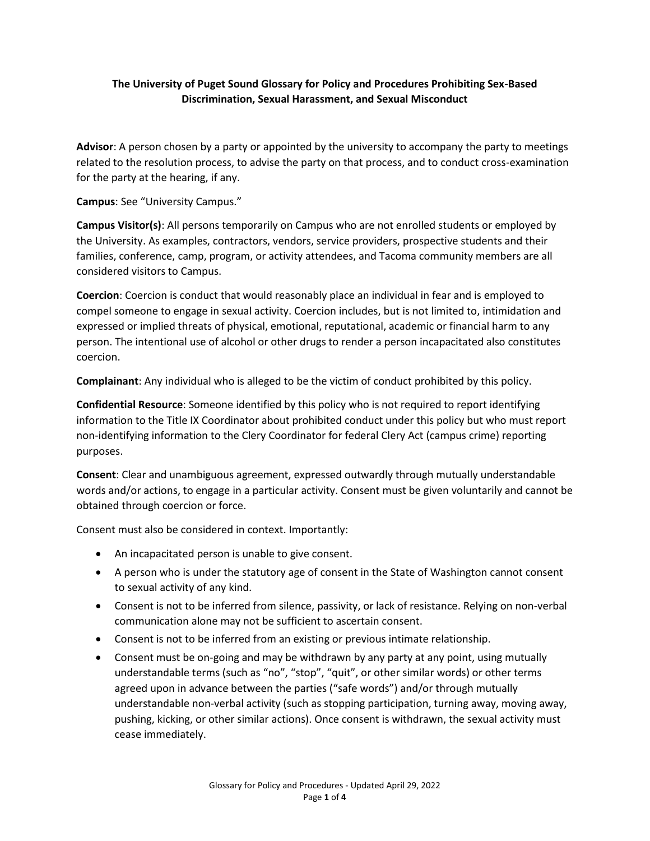## **The University of Puget Sound Glossary for Policy and Procedures Prohibiting Sex-Based Discrimination, Sexual Harassment, and Sexual Misconduct**

**Advisor**: A person chosen by a party or appointed by the university to accompany the party to meetings related to the resolution process, to advise the party on that process, and to conduct cross-examination for the party at the hearing, if any.

**Campus**: See "University Campus."

**Campus Visitor(s)**: All persons temporarily on Campus who are not enrolled students or employed by the University. As examples, contractors, vendors, service providers, prospective students and their families, conference, camp, program, or activity attendees, and Tacoma community members are all considered visitors to Campus.

**Coercion**: Coercion is conduct that would reasonably place an individual in fear and is employed to compel someone to engage in sexual activity. Coercion includes, but is not limited to, intimidation and expressed or implied threats of physical, emotional, reputational, academic or financial harm to any person. The intentional use of alcohol or other drugs to render a person incapacitated also constitutes coercion.

**Complainant**: Any individual who is alleged to be the victim of conduct prohibited by this policy.

**Confidential Resource**: Someone identified by this policy who is not required to report identifying information to the Title IX Coordinator about prohibited conduct under this policy but who must report non-identifying information to the Clery Coordinator for federal Clery Act (campus crime) reporting purposes.

**Consent**: Clear and unambiguous agreement, expressed outwardly through mutually understandable words and/or actions, to engage in a particular activity. Consent must be given voluntarily and cannot be obtained through coercion or force.

Consent must also be considered in context. Importantly:

- An incapacitated person is unable to give consent.
- A person who is under the statutory age of consent in the State of Washington cannot consent to sexual activity of any kind.
- Consent is not to be inferred from silence, passivity, or lack of resistance. Relying on non-verbal communication alone may not be sufficient to ascertain consent.
- Consent is not to be inferred from an existing or previous intimate relationship.
- Consent must be on-going and may be withdrawn by any party at any point, using mutually understandable terms (such as "no", "stop", "quit", or other similar words) or other terms agreed upon in advance between the parties ("safe words") and/or through mutually understandable non-verbal activity (such as stopping participation, turning away, moving away, pushing, kicking, or other similar actions). Once consent is withdrawn, the sexual activity must cease immediately.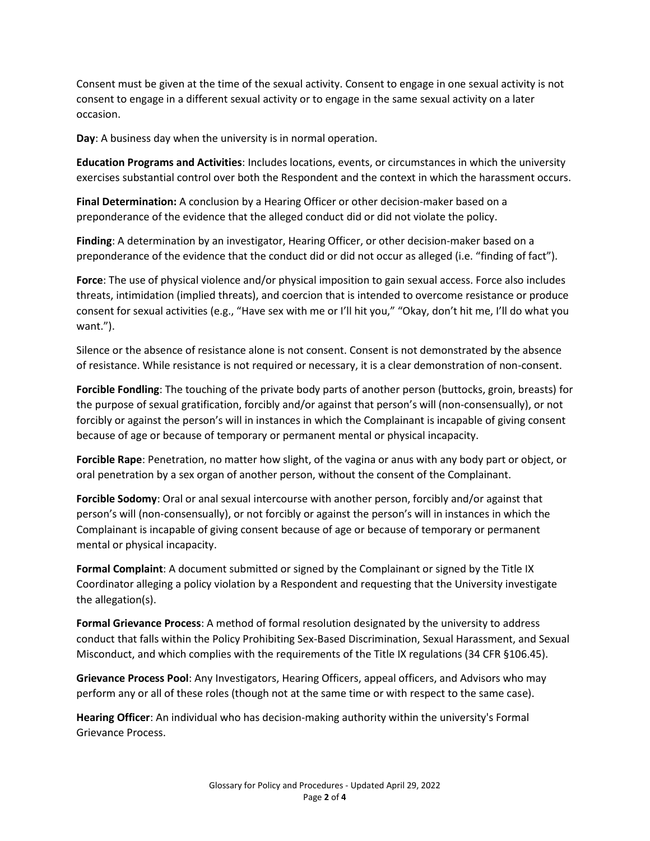Consent must be given at the time of the sexual activity. Consent to engage in one sexual activity is not consent to engage in a different sexual activity or to engage in the same sexual activity on a later occasion.

**Day**: A business day when the university is in normal operation.

**Education Programs and Activities**: Includes locations, events, or circumstances in which the university exercises substantial control over both the Respondent and the context in which the harassment occurs.

**Final Determination:** A conclusion by a Hearing Officer or other decision-maker based on a preponderance of the evidence that the alleged conduct did or did not violate the policy.

**Finding**: A determination by an investigator, Hearing Officer, or other decision-maker based on a preponderance of the evidence that the conduct did or did not occur as alleged (i.e. "finding of fact").

**Force**: The use of physical violence and/or physical imposition to gain sexual access. Force also includes threats, intimidation (implied threats), and coercion that is intended to overcome resistance or produce consent for sexual activities (e.g., "Have sex with me or I'll hit you," "Okay, don't hit me, I'll do what you want.").

Silence or the absence of resistance alone is not consent. Consent is not demonstrated by the absence of resistance. While resistance is not required or necessary, it is a clear demonstration of non-consent.

**Forcible Fondling**: The touching of the private body parts of another person (buttocks, groin, breasts) for the purpose of sexual gratification, forcibly and/or against that person's will (non-consensually), or not forcibly or against the person's will in instances in which the Complainant is incapable of giving consent because of age or because of temporary or permanent mental or physical incapacity.

**Forcible Rape**: Penetration, no matter how slight, of the vagina or anus with any body part or object, or oral penetration by a sex organ of another person, without the consent of the Complainant.

**Forcible Sodomy**: Oral or anal sexual intercourse with another person, forcibly and/or against that person's will (non-consensually), or not forcibly or against the person's will in instances in which the Complainant is incapable of giving consent because of age or because of temporary or permanent mental or physical incapacity.

**Formal Complaint**: A document submitted or signed by the Complainant or signed by the Title IX Coordinator alleging a policy violation by a Respondent and requesting that the University investigate the allegation(s).

**Formal Grievance Process**: A method of formal resolution designated by the university to address conduct that falls within the Policy Prohibiting Sex-Based Discrimination, Sexual Harassment, and Sexual Misconduct, and which complies with the requirements of the Title IX regulations (34 CFR §106.45).

**Grievance Process Pool**: Any Investigators, Hearing Officers, appeal officers, and Advisors who may perform any or all of these roles (though not at the same time or with respect to the same case).

**Hearing Officer**: An individual who has decision-making authority within the university's Formal Grievance Process.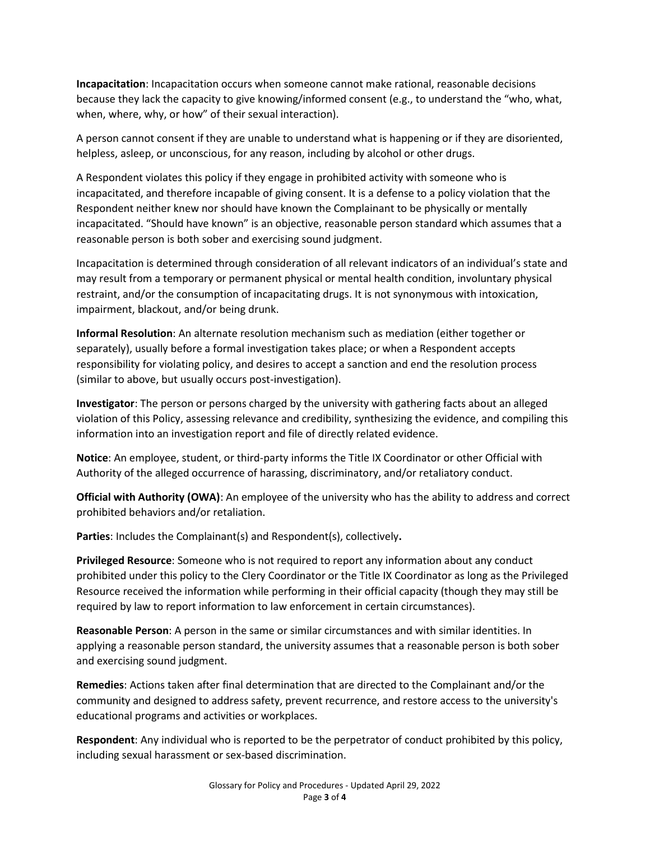**Incapacitation**: Incapacitation occurs when someone cannot make rational, reasonable decisions because they lack the capacity to give knowing/informed consent (e.g., to understand the "who, what, when, where, why, or how" of their sexual interaction).

A person cannot consent if they are unable to understand what is happening or if they are disoriented, helpless, asleep, or unconscious, for any reason, including by alcohol or other drugs.

A Respondent violates this policy if they engage in prohibited activity with someone who is incapacitated, and therefore incapable of giving consent. It is a defense to a policy violation that the Respondent neither knew nor should have known the Complainant to be physically or mentally incapacitated. "Should have known" is an objective, reasonable person standard which assumes that a reasonable person is both sober and exercising sound judgment.

Incapacitation is determined through consideration of all relevant indicators of an individual's state and may result from a temporary or permanent physical or mental health condition, involuntary physical restraint, and/or the consumption of incapacitating drugs. It is not synonymous with intoxication, impairment, blackout, and/or being drunk.

**Informal Resolution**: An alternate resolution mechanism such as mediation (either together or separately), usually before a formal investigation takes place; or when a Respondent accepts responsibility for violating policy, and desires to accept a sanction and end the resolution process (similar to above, but usually occurs post-investigation).

**Investigator**: The person or persons charged by the university with gathering facts about an alleged violation of this Policy, assessing relevance and credibility, synthesizing the evidence, and compiling this information into an investigation report and file of directly related evidence.

**Notice**: An employee, student, or third-party informs the Title IX Coordinator or other Official with Authority of the alleged occurrence of harassing, discriminatory, and/or retaliatory conduct.

**Official with Authority (OWA)**: An employee of the university who has the ability to address and correct prohibited behaviors and/or retaliation.

**Parties**: Includes the Complainant(s) and Respondent(s), collectively**.**

**Privileged Resource**: Someone who is not required to report any information about any conduct prohibited under this policy to the Clery Coordinator or the Title IX Coordinator as long as the Privileged Resource received the information while performing in their official capacity (though they may still be required by law to report information to law enforcement in certain circumstances).

**Reasonable Person**: A person in the same or similar circumstances and with similar identities. In applying a reasonable person standard, the university assumes that a reasonable person is both sober and exercising sound judgment.

**Remedies**: Actions taken after final determination that are directed to the Complainant and/or the community and designed to address safety, prevent recurrence, and restore access to the university's educational programs and activities or workplaces.

**Respondent**: Any individual who is reported to be the perpetrator of conduct prohibited by this policy, including sexual harassment or sex-based discrimination.